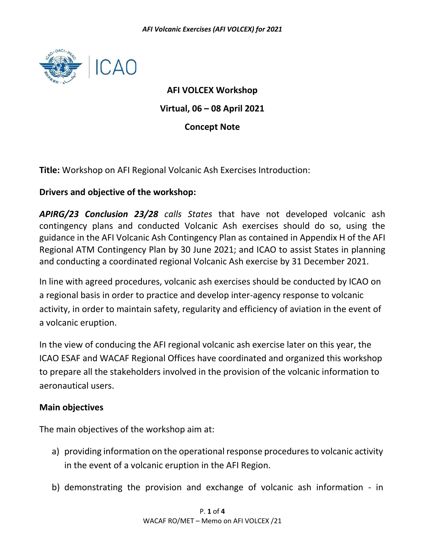

**AFI VOLCEX Workshop Virtual, 06 – 08 April 2021 Concept Note**

**Title:** Workshop on AFI Regional Volcanic Ash Exercises Introduction:

## **Drivers and objective of the workshop:**

*APIRG/23 Conclusion 23/28 calls States* that have not developed volcanic ash contingency plans and conducted Volcanic Ash exercises should do so, using the guidance in the AFI Volcanic Ash Contingency Plan as contained in Appendix H of the AFI Regional ATM Contingency Plan by 30 June 2021; and ICAO to assist States in planning and conducting a coordinated regional Volcanic Ash exercise by 31 December 2021.

In line with agreed procedures, volcanic ash exercises should be conducted by ICAO on a regional basis in order to practice and develop inter-agency response to volcanic activity, in order to maintain safety, regularity and efficiency of aviation in the event of a volcanic eruption.

In the view of conducing the AFI regional volcanic ash exercise later on this year, the ICAO ESAF and WACAF Regional Offices have coordinated and organized this workshop to prepare all the stakeholders involved in the provision of the volcanic information to aeronautical users.

### **Main objectives**

The main objectives of the workshop aim at:

- a) providing information on the operational response procedures to volcanic activity in the event of a volcanic eruption in the AFI Region.
- b) demonstrating the provision and exchange of volcanic ash information in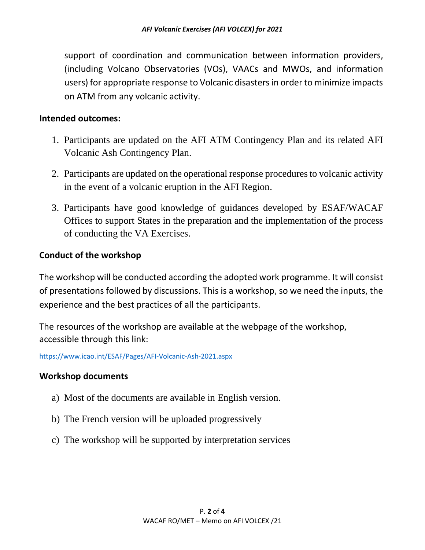support of coordination and communication between information providers, (including Volcano Observatories (VOs), VAACs and MWOs, and information users) for appropriate response to Volcanic disasters in order to minimize impacts on ATM from any volcanic activity.

### **Intended outcomes:**

- 1. Participants are updated on the AFI ATM Contingency Plan and its related AFI Volcanic Ash Contingency Plan.
- 2. Participants are updated on the operational response procedures to volcanic activity in the event of a volcanic eruption in the AFI Region.
- 3. Participants have good knowledge of guidances developed by ESAF/WACAF Offices to support States in the preparation and the implementation of the process of conducting the VA Exercises.

# **Conduct of the workshop**

The workshop will be conducted according the adopted work programme. It will consist of presentations followed by discussions. This is a workshop, so we need the inputs, the experience and the best practices of all the participants.

The resources of the workshop are available at the webpage of the workshop, accessible through this link:

<https://www.icao.int/ESAF/Pages/AFI-Volcanic-Ash-2021.aspx>

# **Workshop documents**

- a) Most of the documents are available in English version.
- b) The French version will be uploaded progressively
- c) The workshop will be supported by interpretation services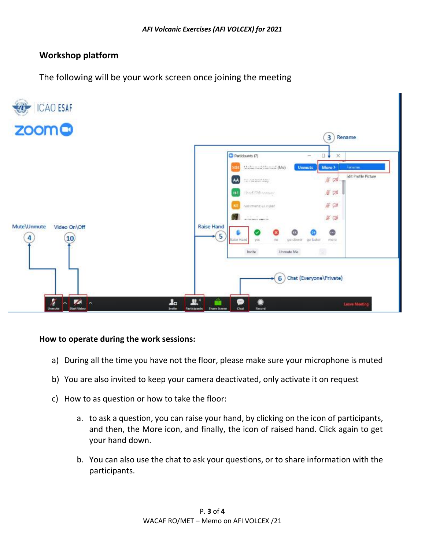## **Workshop platform**

The following will be your work screen once joining the meeting



#### **How to operate during the work sessions:**

- a) During all the time you have not the floor, please make sure your microphone is muted
- b) You are also invited to keep your camera deactivated, only activate it on request
- c) How to as question or how to take the floor:
	- a. to ask a question, you can raise your hand, by clicking on the icon of participants, and then, the More icon, and finally, the icon of raised hand. Click again to get your hand down.
	- b. You can also use the chat to ask your questions, or to share information with the participants.